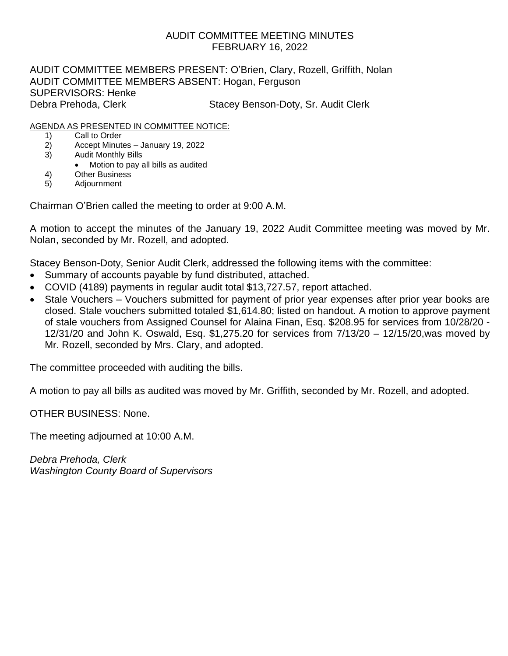## AUDIT COMMITTEE MEETING MINUTES FEBRUARY 16, 2022

AUDIT COMMITTEE MEMBERS PRESENT: O'Brien, Clary, Rozell, Griffith, Nolan AUDIT COMMITTEE MEMBERS ABSENT: Hogan, Ferguson SUPERVISORS: Henke Debra Prehoda, Clerk Stacey Benson-Doty, Sr. Audit Clerk

## AGENDA AS PRESENTED IN COMMITTEE NOTICE:

- 1) Call to Order
- 2) Accept Minutes January 19, 2022
- 3) Audit Monthly Bills
	- Motion to pay all bills as audited
- 4) Other Business
- 5) Adjournment

Chairman O'Brien called the meeting to order at 9:00 A.M.

A motion to accept the minutes of the January 19, 2022 Audit Committee meeting was moved by Mr. Nolan, seconded by Mr. Rozell, and adopted.

Stacey Benson-Doty, Senior Audit Clerk, addressed the following items with the committee:

- Summary of accounts payable by fund distributed, attached.
- COVID (4189) payments in regular audit total \$13,727.57, report attached.
- Stale Vouchers Vouchers submitted for payment of prior year expenses after prior year books are closed. Stale vouchers submitted totaled \$1,614.80; listed on handout. A motion to approve payment of stale vouchers from Assigned Counsel for Alaina Finan, Esq. \$208.95 for services from 10/28/20 - 12/31/20 and John K. Oswald, Esq. \$1,275.20 for services from 7/13/20 – 12/15/20,was moved by Mr. Rozell, seconded by Mrs. Clary, and adopted.

The committee proceeded with auditing the bills.

A motion to pay all bills as audited was moved by Mr. Griffith, seconded by Mr. Rozell, and adopted.

OTHER BUSINESS: None.

The meeting adjourned at 10:00 A.M.

*Debra Prehoda, Clerk Washington County Board of Supervisors*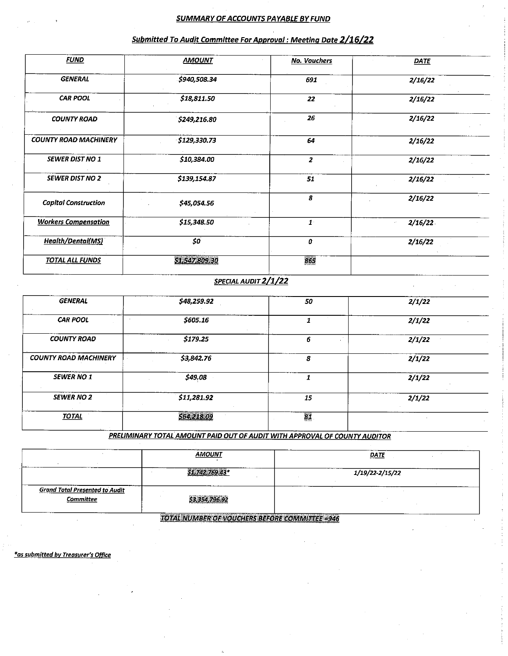### **SUMMARY OF ACCOUNTS PAYABLE BY FUND**

| <b>FUND</b>                  | <b>AMOUNT</b>        | <b>No. Vouchers</b> | <b>DATE</b>        |  |  |  |
|------------------------------|----------------------|---------------------|--------------------|--|--|--|
| <b>GENERAL</b>               | \$940,508.34         | 691                 | 2/16/22<br>2/16/22 |  |  |  |
| <b>CAR POOL</b>              | \$18,811.50          | 22                  |                    |  |  |  |
| <b>COUNTY ROAD</b>           | \$249,216.80         | 26                  | 2/16/22            |  |  |  |
| <b>COUNTY ROAD MACHINERY</b> | \$129,330.73         | 64                  | 2/16/22            |  |  |  |
| <b>SEWER DIST NO 1</b>       | \$10,384.00          | $\mathbf{z}$        | 2/16/22            |  |  |  |
| <b>SEWER DIST NO 2</b>       | \$139,154.87         | 51                  | 2/16/22            |  |  |  |
| <b>Capital Construction</b>  | \$45,054.56          | 8                   | 2/16/22            |  |  |  |
| <b>Workers Compensation</b>  | \$15,348.50          | $\mathbf{I}$        | 2/16/22            |  |  |  |
| Health/Dental(MS)            | \$0                  | 0                   | 2/16/22            |  |  |  |
| <b>TOTAL ALL FUNDS</b>       | \$1,547,809.30       | 865                 |                    |  |  |  |
|                              | SPECIAL AUDIT 2/1/22 |                     |                    |  |  |  |
| <b>GENERAL</b>               | \$48,259.92          | 50                  | 2/1/22             |  |  |  |
| <b>CAR POOL</b><br>$\sim$    | \$605.16             | 1                   | 2/1/22             |  |  |  |
| <b>COUNTY ROAD</b>           | \$179.25             | 6                   | 2/1/22             |  |  |  |

#### Submitted To Audit Committee For Approval : Meeting Date 2/16/22

PRELIMINARY TOTAL AMOUNT PAID OUT OF AUDIT WITH APPROVAL OF COUNTY AUDITOR

8

 $\overline{\mathbf{1}}$ 

 $\overline{15}$ 

ŖI

 $2/1/22$ 

 $2/1/22$ 

 $2/1/22$ 

\$3,842.76

 $$49,08$ 

\$11,281.92

564,218.09

|                                                    | <b>AMOUNT</b>  | <b>DATE</b>     |  |  |  |
|----------------------------------------------------|----------------|-----------------|--|--|--|
|                                                    | $74275943*$    | 1/19/22-2/15/22 |  |  |  |
| <b>Grand Total Presented to Audit</b><br>Committee | \$3,354,796.92 |                 |  |  |  |

**TOTAL NUMBER OF VOUCHERS BEFORE COMMITTEE =946** 

\*as submitted by Treasurer's Office

**COUNTY ROAD MACHINERY** 

**SEWER NO 1** 

**SEWER NO 2** 

**TOTAL**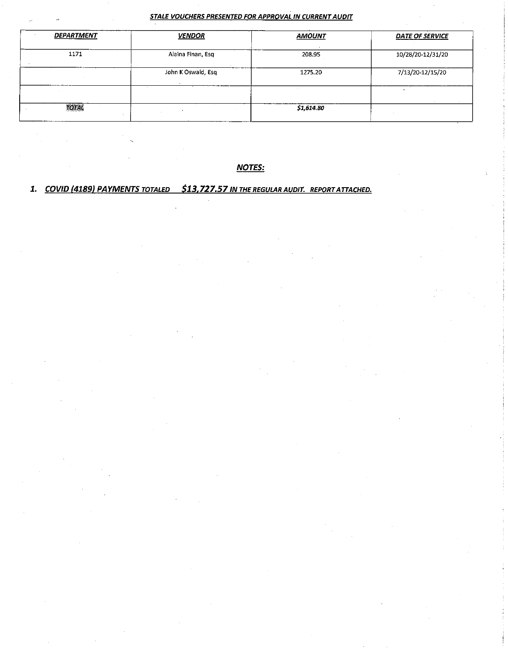#### STALE VOUCHERS PRESENTED FOR APPROVAL IN CURRENT AUDIT

| <b>DEPARTMENT</b> | <b>VENDOR</b>      | <b>AMOUNT</b> | <b>DATE OF SERVICE</b> |  |  |
|-------------------|--------------------|---------------|------------------------|--|--|
| 1171              | Alaina Finan, Esq  | 208.95        | 10/28/20-12/31/20      |  |  |
|                   | John K Oswald, Esg | 1275.20       | 7/13/20-12/15/20       |  |  |
|                   |                    |               |                        |  |  |
| total<br>100      |                    | \$1,614.80    |                        |  |  |

**NOTES:** 

## 1. COVID (4189) PAYMENTS TOTALED \$13,727.57 IN THE REGULAR AUDIT. REPORT ATTACHED.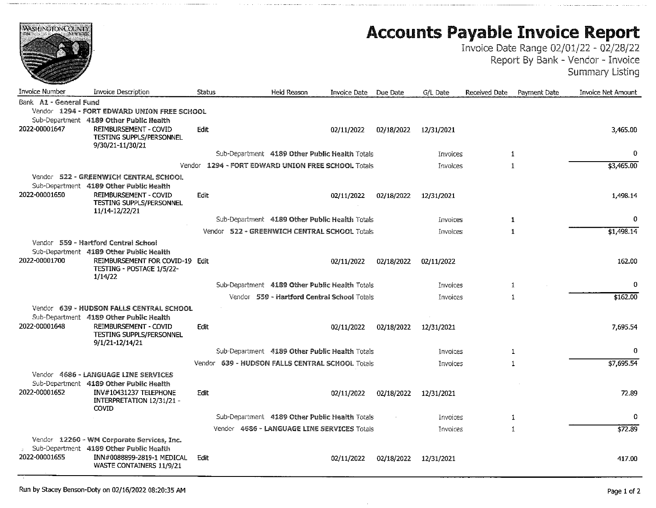| <b>WASHINGTON COUNTY</b> |                                                                                                                                                        |             |                                                    |                       |            |                 |               |              | <b>Accounts Payable Invoice Report</b><br>Invoice Date Range 02/01/22 - 02/28/22<br>Report By Bank - Vendor - Invoice<br><b>Summary Listing</b> |
|--------------------------|--------------------------------------------------------------------------------------------------------------------------------------------------------|-------------|----------------------------------------------------|-----------------------|------------|-----------------|---------------|--------------|-------------------------------------------------------------------------------------------------------------------------------------------------|
| Invoice Number           | Invoice Description                                                                                                                                    | Status      | <b>Held Reason</b>                                 | Invoice Date Due Date |            | G/L Date        | Received Date | Payment Date | Invoice Net Amount                                                                                                                              |
| Bank A1 - General Fund   |                                                                                                                                                        |             |                                                    |                       |            |                 |               |              |                                                                                                                                                 |
|                          | Vendor 1294 - FORT EDWARD UNION FREE SCHOOL                                                                                                            |             |                                                    |                       |            |                 |               |              |                                                                                                                                                 |
| 2022-00001647            | Sub-Department 4189 Other Public Health<br><b>REIMBURSEMENT - COVID</b><br>TESTING SUPPLS/PERSONNEL<br>9/30/21-11/30/21                                | Edit        |                                                    | 02/11/2022            | 02/18/2022 | 12/31/2021      |               |              | 3,465.00                                                                                                                                        |
|                          |                                                                                                                                                        |             | Sub-Department 4189 Other Public Health Totals     |                       |            | Invoices        |               | $\mathbf{1}$ | 0                                                                                                                                               |
|                          |                                                                                                                                                        |             | Vendor 1294 - FORT EDWARD UNION FREE SCHOOL Totals |                       |            | Invoices        |               | $\mathbf{1}$ | \$3,465.00                                                                                                                                      |
|                          | Vendor 522 - GREENWICH CENTRAL SCHOOL                                                                                                                  |             |                                                    |                       |            |                 |               |              |                                                                                                                                                 |
| 2022-00001650            | Sub-Department 4189 Other Public Health<br><b>REIMBURSEMENT - COVID</b><br>TESTING SUPPLS/PERSONNEL<br>11/14-12/22/21                                  | <b>Edit</b> |                                                    | 02/11/2022            | 02/18/2022 | 12/31/2021      |               |              | 1,498.14                                                                                                                                        |
|                          |                                                                                                                                                        |             | Sub-Department 4189 Other Public Health Totals     |                       |            | Invoices        |               | $\mathbf{1}$ | 0                                                                                                                                               |
|                          |                                                                                                                                                        |             | Vendor 522 - GREENWICH CENTRAL SCHOOL Totals       |                       |            | Invoices        |               | 1            | \$1,498.14                                                                                                                                      |
|                          | Vendor 559 - Hartford Central School                                                                                                                   |             |                                                    |                       |            |                 |               |              |                                                                                                                                                 |
| 2022-00001700            | Sub-Department 4189 Other Public Health<br>REIMBURSEMENT FOR COVID-19 Edit<br>TESTING - POSTAGE 1/5/22-<br>1/14/22                                     |             |                                                    | 02/11/2022            | 02/18/2022 | 02/11/2022      |               |              | 162.00                                                                                                                                          |
|                          |                                                                                                                                                        |             | Sub-Department 4189 Other Public Health Totals     |                       |            | Invoices        |               | 1            | 0                                                                                                                                               |
|                          |                                                                                                                                                        |             | Vendor 559 - Hartford Central School Totals        |                       |            | Invoices        |               | $\mathbf{1}$ | \$162.00                                                                                                                                        |
| 2022-00001648            | Vendor 639 - HUDSON FALLS CENTRAL SCHOOL<br>Sub-Department 4189 Other Public Health<br><b>REIMBURSEMENT - COVID</b><br><b>TESTING SUPPLS/PERSONNEL</b> | Edit        |                                                    | 02/11/2022            | 02/18/2022 | 12/31/2021      |               |              | 7,695.54                                                                                                                                        |
|                          | 9/1/21-12/14/21                                                                                                                                        |             | Sub-Department 4189 Other Public Health Totals     |                       |            | Invoices        |               | 1            | 0                                                                                                                                               |
|                          |                                                                                                                                                        |             | Vendor 639 - HUDSON FALLS CENTRAL SCHOOL Totals    |                       |            | Invoices        |               | 1            | \$7,695.54                                                                                                                                      |
|                          | Vendor 4686 - LANGUAGE LINE SERVICES                                                                                                                   |             |                                                    |                       |            |                 |               |              |                                                                                                                                                 |
| 2022-00001652            | Sub-Department 4189 Other Public Health<br>INV#10431237 TELEPHONE<br>INTERPRETATION 12/31/21 -<br>Covid                                                | Edit        |                                                    | 02/11/2022            | 02/18/2022 | 12/31/2021      |               |              | 72.89                                                                                                                                           |
|                          |                                                                                                                                                        |             | Sub-Department 4189 Other Public Health Totals     |                       |            | Invoices        |               | 1            | 0                                                                                                                                               |
|                          |                                                                                                                                                        |             | Vendor 4686 - LANGUAGE LINE SERVICES Totals        |                       |            | <b>Invoices</b> |               | 1            | \$72.89                                                                                                                                         |
| 2022-00001655            | Vendor 12260 - WM Corporate Services, Inc.<br>Sub-Department 4189 Other Public Health<br>INN#0088899-2819-1 MEDICAL<br>WASTE CONTAINERS 11/9/21        | Edit        |                                                    | 02/11/2022            | 02/18/2022 | 12/31/2021      |               |              | 417.00                                                                                                                                          |

and make the state of the state of the state